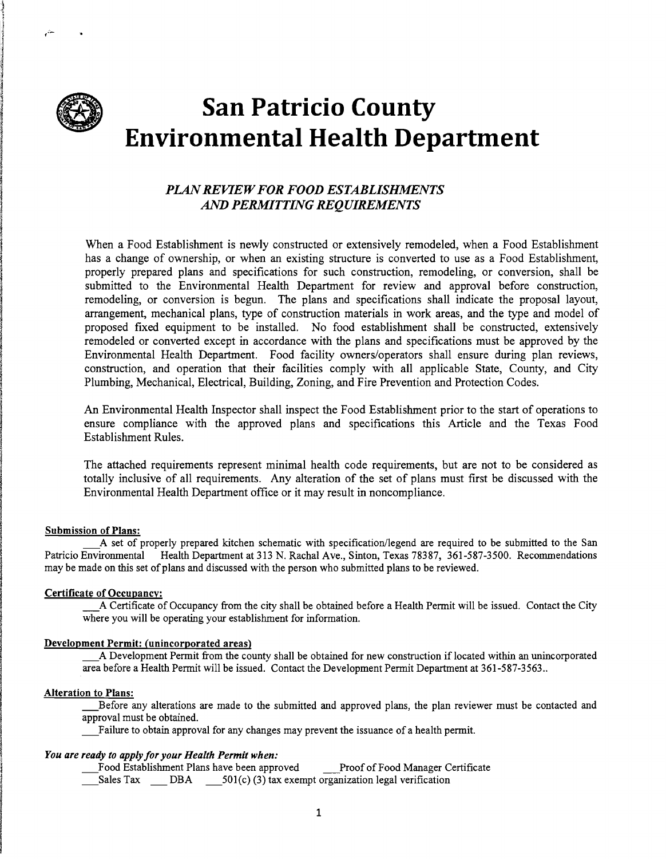

یتر

ر<br>الأسطة I ,

# **San Patricio County Environmental Health Department**

# *PLANREVIEWFOR FOOD ESTABLISHMENTS AND PERMITTING REQUIREMENTS*

When a Food Establishment is newly constructed or extensively remodeled, when a Food Establishment has a change of ownership, or when an existing structure is converted to use as a Food Establishment, properly prepared plans and specifications for such construction, remodeling, or conversion, shall be submitted to the Environmental Health Department for review and approval before construction, remodeling, or conversion is begun. The plans and specifications shall indicate the proposal layout, arrangement, mechanical plans, type of construction materials in work areas, and the type and model of proposed fixed equipment to be installed. No food establishment shall be constructed, extensively remodeled or converted except in accordance with the plans and specifications must be approved by the Environmental Health Department. Food facility owners/operators shall ensure during plan reviews, construction, and operation that their facilities comply with all applicable State, County, and City Plumbing, Mechanical, Electrical, Building, Zoning, and Fire Prevention and Protection Codes.

An Environmental Health Inspector shall inspect the Food Establishment prior to the start of operations to ensure compliance with the approved plans and specifications this Article and the Texas Food Establishment Rules.

The attached requirements represent minimal health code requirements, but are not to be considered as totally inclusive of all requirements. Any alteration of the set of plans must first be discussed with the Environmental Health Department office or it may result in noncompliance.

### Submission of Plans:

\_A set of properly prepared kitchen schematic with specification/legend are required to be submitted to the San Patricio Environmental Health Department at 313 N. Rachal Ave., Sinton, Texas 78387, 361-587-3500. Recommendations may be made on this set of plans and discussed with the person who submitted plans to be reviewed.

# Certificate of Occupancy:

\_A Certificate of Occupancy from the city shall be obtained before a Health Permit will be issued. Contact the City where you will be operating your establishment for information.

# Development Permit: (unincorporated areas)

\_A Development Permit from the county shall be obtained for new construction if located within an unincorporated area before a Health Permit will be issued. Contact the Development Permit Department at 361-587-3563 ..

# Alteration to Plans:

\_Before any alterations are made to the submitted and approved plans, the plan reviewer must be contacted and approval must be obtained.

\_Failure to obtain approval for any changes may prevent the issuance of a health permit.

# *You are ready to apply jor your Health Permit when:*

\_Food Establishment Plans have been approved \_Proof of Food Manager Certificate

 $\overline{\hspace{1cm}}$  Sales Tax  $\hspace{1cm}$  DBA  $\hspace{1cm}$  501(c) (3) tax exempt organization legal verification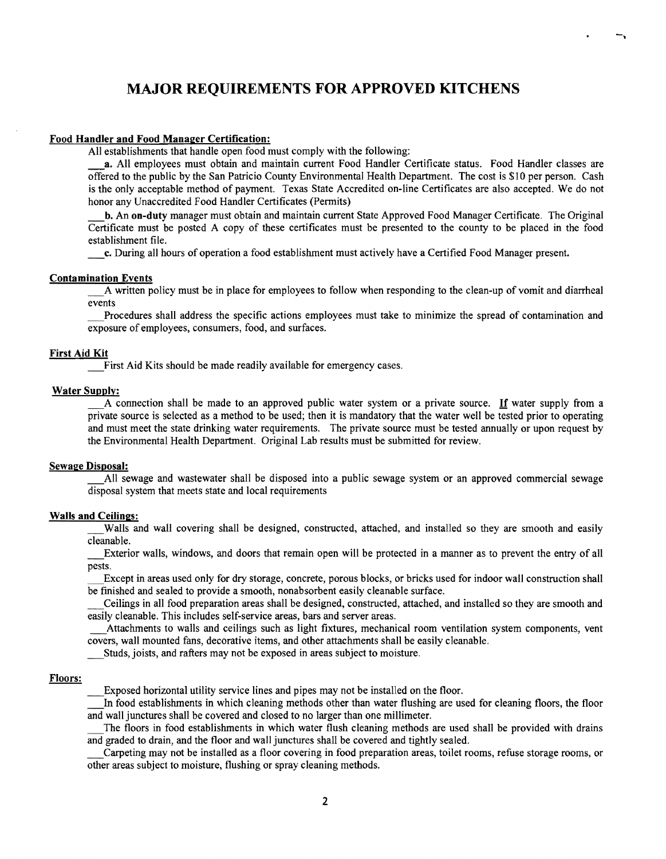# **MAJOR REQUIREMENTS FOR APPROVED KITCHENS**

#### Food Handler and Food Manager Certification:

All establishments that handle open food must comply with the following:

a. All employees must obtain and maintain current Food Handler Certificate status. Food Handler classes are offered to the public by the San Patricio County Environmental Health Department. The cost is \$10 per person. Cash is the only acceptable method of payment. Texas State Accredited on-line Certificates are also accepted. We do not honor any Unaccredited Food Handler Certificates (Permits)

-.

b. An on-duty manager must obtain and maintain current State Approved Food Manager Certificate. The Original Certificate must be posted A copy of these certificates must be presented to the county to be placed in the food establishment file.

\_c. During all hours of operation a food establishment must actively have a Certified Food Manager present.

#### Contamination Events

A written policy must be in place for employees to follow when responding to the clean-up of vomit and diarrheal events

\_Procedures shall address the specific actions employees must take to minimize the spread of contamination and exposure of employees, consumers, food, and surfaces.

# First Aid Kit

First Aid Kits should be made readily available for emergency cases.

#### Water Supplv:

A connection shall be made to an approved public water system or a private source. If water supply from a private source is selected as a method to be used; then it is mandatory that the water well be tested prior to operating and must meet the state drinking water requirements. The private source must be tested annually or upon request by the Environmental Health Department. Original Lab results must be submitted for review.

#### Sewage Disposal:

All sewage and wastewater shall be disposed into a public sewage system or an approved commercial sewage disposal system that meets state and local requirements

# Walls and Ceilings:

Walls and wall covering shall be designed, constructed, attached, and installed so they are smooth and easily cleanable.

\_Exterior walls, windows, and doors that remain open will be protected in a manner as to prevent the entry of all pests.

\_Except in areas used only for dry storage, concrete, porous blocks, or bricks used for indoor wall construction shall be fmished and sealed to provide a smooth, nonabsorbent easily cleanable surface.

\_Ceilings in all food preparation areas shall be designed, constructed, attached, and installed so they are smooth and easily cleanable. This includes self-service areas, bars and server areas.

\_Attachments to walls and ceilings such as light fixtures, mechanical room ventilation system components, vent covers, wall mounted fans, decorative items, and other attachments shall be easily cleanable.

\_Studs, joists, and rafters may not be exposed in areas subject to moisture.

#### Floors:

\_Exposed horizontal utility service lines and pipes may not be installed on the floor.

In food establishments in which cleaning methods other than water flushing are used for cleaning floors, the floor and wall junctures shall be covered and closed to no larger than one millimeter.

\_The floors in food establishments in which water flush cleaning methods are used shall be provided with drains and graded to drain, and the floor and wall junctures shall be covered and tightly sealed.

\_Carpeting may not be installed as a floor covering in food preparation areas, toilet rooms, refuse storage rooms, or other areas subject to moisture, flushing or spray cleaning methods.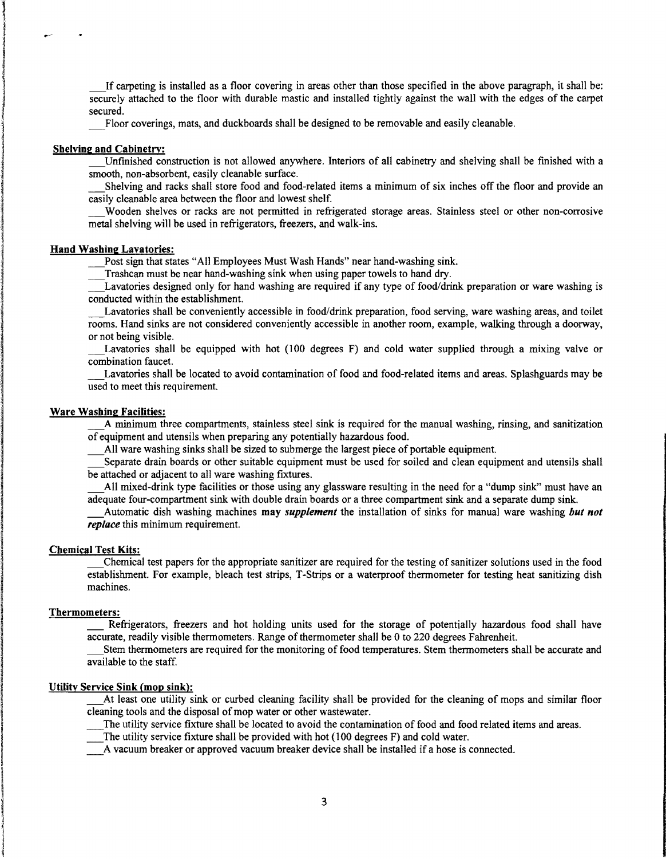\_If carpeting is installed as a floor covering in areas other than those specified in the above paragraph, it shall be: securely attached to the floor with durable mastic and installed tightly against the wall with the edges of the carpet secured.

Floor coverings, mats, and duckboards shall be designed to be removable and easily cleanable.

# Shelving and Cabinetry:

\_Unfmished construction is not allowed anywhere. Interiors of all cabinetry and shelving shall be fmished with a smooth, non-absorbent, easily cleanable surface.

Shelving and racks shall store food and food-related items a minimum of six inches off the floor and provide an easily cleanable area between the floor and lowest shelf.

\_Wooden shelves or racks are not permitted in refrigerated storage areas. Stainless steel or other non-corrosive metal shelving will be used in refrigerators, freezers, and walk-ins.

#### Hand Washing Lavatories:

Post sign that states "All Employees Must Wash Hands" near hand-washing sink.

Trashcan must be near hand-washing sink when using paper towels to hand dry.

\_Lavatories designed only for hand washing are required if any type of food/drink preparation or ware washing is conducted within the establishment.

\_Lavatories shall be conveniently accessible in food/drink preparation, food serving, ware washing areas, and toilet rooms. Hand sinks are not considered conveniently accessible in another room, example, walking through a doorway, or not being visible.

Lavatories shall be equipped with hot (100 degrees F) and cold water supplied through a mixing valve or combination faucet.

\_Lavatories shall be located to avoid contamination of food and food-related items and areas. Splashguards may be used to meet this requirement.

#### Ware Washing Facilities:

\_A minimum three compartments, stainless steel sink is required for the manual washing, rinsing, and sanitization of equipment and utensils when preparing any potentially hazardous food.

All ware washing sinks shall be sized to submerge the largest piece of portable equipment.

Separate drain boards or other suitable equipment must be used for soiled and clean equipment and utensils shall be attached or adjacent to all ware washing fixtures.

\_All mixed-drink type facilities or those using any glassware resulting in the need for a "dump sink" must have an adequate four-compartment sink with double drain boards or a three compartment sink and a separate dump sink.

\_Automatic dish washing machines may *supplement* the installation of sinks for manual ware washing *but not replace* this minimum requirement.

# Cbemical Test Kits:

\_Chemical test papers for the appropriate sanitizer are required for the testing of sanitizer solutions used in the food establishment. For example, bleach test strips, T-Strips or a waterproof thermometer for testing heat sanitizing dish machines.

#### Thermometers:

I

I

1 **Internet** 

Refrigerators, freezers and hot holding units used for the storage of potentially hazardous food shall have accurate, readily visible thermometers. Range of thermometer shall be 0 to 220 degrees Fahrenheit.

\_Stem thermometers are required for the monitoring of food temperatures. Stern thermometers shall be accurate and available to the staff.

#### Utility Service Sink (mop sink):

**At least one utility sink or curbed cleaning facility shall be provided for the cleaning of mops and similar floor** cleaning tools and the disposal of mop water or other wastewater.

\_The utility service fixture shall be located to avoid the contamination of food and food related items and areas.

The utility service fixture shall be provided with hot (100 degrees F) and cold water.

\_A vacuum breaker or approved vacuum breaker device shall be installed if a hose is connected. <sup>I</sup>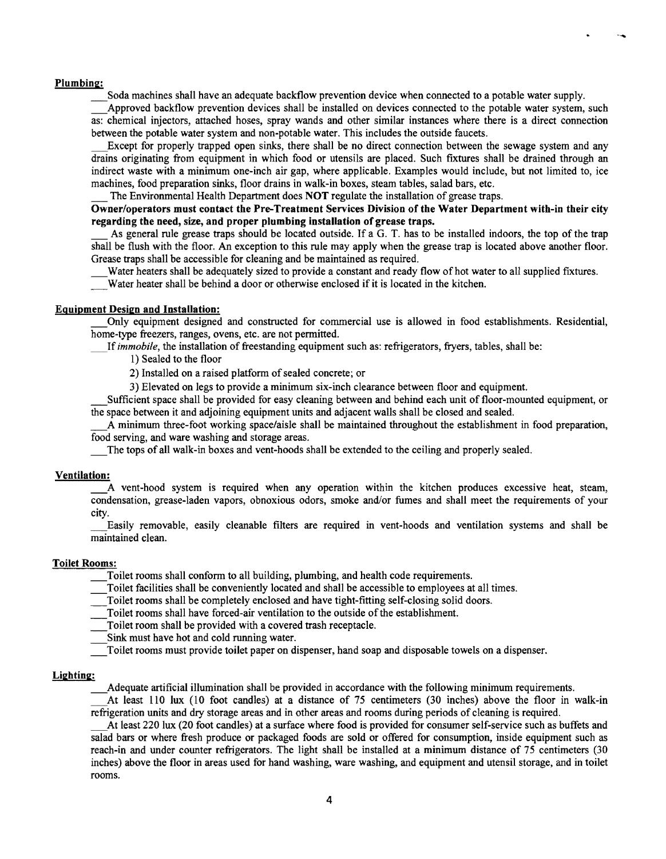#### Plumbing:

Soda machines shall have an adequate backflow prevention device when connected to a potable water supply.

Approved backflow prevention devices shall be installed on devices connected to the potable water system, such as: chemical injectors, attached hoses, spray wands and other similar instances where there is a direct connection between the potable water system and non-potable water. This includes the outside faucets.

Except for properly trapped open sinks, there shall be no direct connection between the sewage system and any drains originating from equipment in which food or utensils are placed. Such fixtures shall be drained through an indirect waste with a minimum one-inch air gap, where applicable. Examples would include, but not limited to, ice machines, food preparation sinks, floor drains in walk-in boxes, steam tables, salad bars, etc.

The Environmental Health Department does NOT regulate the installation of grease traps.

# Owner/operators must contact the Pre-Treatment Services Division of the Water Department with-in their city regarding the need, size, and proper plumbing installation of grease traps.

As general rule grease traps should be located outside. If a G. T. has to be installed indoors, the top of the trap shall be flush with the floor. An exception to this rule may apply when the grease trap is located above another floor. Grease traps shall be accessible for cleaning and be maintained as required.

Water heaters shall be adequately sized to provide a constant and ready flow of hot water to all supplied fixtures. Water heater shall be behind a door or otherwise enclosed if it is located in the kitchen.

#### Equipment Design and Installation:

\_Only equipment designed and constructed for commercial use is allowed in food establishments. Residential, home-type freezers, ranges, ovens, etc. are not permitted.

If *immobile*, the installation of freestanding equipment such as: refrigerators, fryers, tables, shall be:

1) Sealed to the floor

2) Installed on a raised platform of sealed concrete; or

3) Elevated on legs to provide a minimum six-inch clearance between floor and equipment.

\_Sufficient space shall be provided for easy cleaning between and behind each unit of floor-mounted equipment, or the space between it and adjoining equipment units and adjacent walls shall be closed and sealed.

\_A minimum three-foot working space/aisle shall be maintained throughout the establishment in food preparation, food serving, and ware washing and storage areas.

\_The tops of all walk-in boxes and vent-hoods shall be extended to the ceiling and properly sealed.

#### Ventilation:

A vent-hood system is required when any operation within the kitchen produces excessive heat, steam, condensation, grease-laden vapors, obnoxious odors, smoke and/or fumes and shall meet the requirements of your city.

\_Easily removable, easily cleanable filters are required in vent-hoods and ventilation systems and shall be maintained clean.

#### Toilet Rooms:

\_Toilet rooms shall conform to all building, plumbing, and health code requirements.

Toilet facilities shall be conveniently located and shall be accessible to employees at all times.

\_Toilet rooms shall be completely enclosed and have tight-fitting self-closing solid doors.

Toilet rooms shall have forced-air ventilation to the outside of the establishment.

\_Toilet room shall be provided with a covered trash receptacle.

Sink must have hot and cold running water.

\_Toilet rooms must provide toilet paper on dispenser, hand soap and disposable towels on a dispenser.

#### Lighting:

\_Adequate artificial illumination shall be provided in accordance with the following minimum requirements.

\_At least 110 lux (10 foot candles) at a distance of 75 centimeters (30 inches) above the floor in walk-in refrigeration units and dry storage areas and in other areas and rooms during periods of cleaning is required.

\_At least 220 lux (20 foot candles) at a surface where food is provided for consumer self-service such as buffets and salad bars or where fresh produce or packaged foods are sold or offered for consumption, inside equipment such as reach-in and under counter refrigerators. The light shall be installed at a minimum distance of 75 centimeters (30 inches) above the floor in areas used for hand washing, ware washing, and equipment and utensil storage, and in toilet rooms.